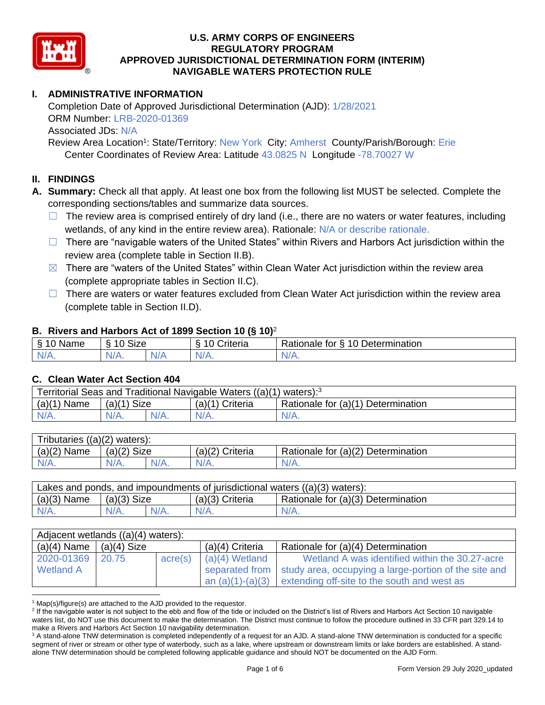

# **I. ADMINISTRATIVE INFORMATION**

Completion Date of Approved Jurisdictional Determination (AJD): 1/28/2021 ORM Number: LRB-2020-01369 Associated JDs: N/A Review Area Location<sup>1</sup>: State/Territory: New York City: Amherst County/Parish/Borough: Erie

Center Coordinates of Review Area: Latitude 43.0825 N Longitude -78.70027 W

### **II. FINDINGS**

**A. Summary:** Check all that apply. At least one box from the following list MUST be selected. Complete the corresponding sections/tables and summarize data sources.

- $\Box$  The review area is comprised entirely of dry land (i.e., there are no waters or water features, including wetlands, of any kind in the entire review area). Rationale: N/A or describe rationale.
- $\Box$  There are "navigable waters of the United States" within Rivers and Harbors Act jurisdiction within the review area (complete table in Section II.B).
- $\boxtimes$  There are "waters of the United States" within Clean Water Act jurisdiction within the review area (complete appropriate tables in Section II.C).
- □ There are waters or water features excluded from Clean Water Act jurisdiction within the review area (complete table in Section II.D).

### **B. Rivers and Harbors Act of 1899 Section 10 (§ 10)**<sup>2</sup>

| δ<br>NL.<br>anne<br>- 1 | $\sim$ Circ $\sim$<br>$\sqrt{2}$<br>◢<br>SIZE |              | . .<br>`riteria<br>. . | Determination<br>10<br>-<br>-<br>tor<br>ationale *,<br>. . |
|-------------------------|-----------------------------------------------|--------------|------------------------|------------------------------------------------------------|
| N<br>1.977.1            | ,,<br>N/A.                                    | `N/ <i>F</i> | N/A.                   | W.<br>.                                                    |

#### **C. Clean Water Act Section 404**

| Territorial Seas and Traditional Navigable Waters ((a)(1) waters): <sup>3</sup> |                |  |                   |                                    |  |  |  |
|---------------------------------------------------------------------------------|----------------|--|-------------------|------------------------------------|--|--|--|
| (a)(1)<br>Name                                                                  | Size<br>(a)(1) |  | $(a)(1)$ Criteria | Rationale for (a)(1) Determination |  |  |  |
|                                                                                 | $N/A$ .        |  | $N/A$ .           | $N/A$ .                            |  |  |  |

| Tributaries $((a)(2)$ waters): |               |  |                   |                                    |  |  |  |  |  |
|--------------------------------|---------------|--|-------------------|------------------------------------|--|--|--|--|--|
| $(a)(2)$ Name                  | $(a)(2)$ Size |  | $(a)(2)$ Criteria | Rationale for (a)(2) Determination |  |  |  |  |  |
| $N/A$ .                        | $N/A$ .       |  | $N/A$ .           | N/A.                               |  |  |  |  |  |

| Lakes and ponds, and impoundments of jurisdictional waters $((a)(3)$ waters): |               |  |                 |                                    |  |  |  |
|-------------------------------------------------------------------------------|---------------|--|-----------------|------------------------------------|--|--|--|
| $(a)(3)$ Name                                                                 | $(a)(3)$ Size |  | (a)(3) Criteria | Rationale for (a)(3) Determination |  |  |  |
| $N/A$ .                                                                       | $N/A$ .       |  | $N/A$ .         | $N/A$ .                            |  |  |  |

| Adjacent wetlands $((a)(4)$ waters): |       |         |                   |                                                                        |  |  |  |  |
|--------------------------------------|-------|---------|-------------------|------------------------------------------------------------------------|--|--|--|--|
| (a)(4) Name $ (a)(4)$ Size           |       |         | $(a)(4)$ Criteria | Rationale for (a)(4) Determination                                     |  |  |  |  |
| 2020-01369                           | 20.75 | acre(s) | $(a)(4)$ Wetland  | Wetland A was identified within the 30.27-acre                         |  |  |  |  |
| <b>Wetland A</b>                     |       |         |                   | separated from   study area, occupying a large-portion of the site and |  |  |  |  |
|                                      |       |         |                   | an $(a)(1)-(a)(3)$ extending off-site to the south and west as         |  |  |  |  |

 $1$  Map(s)/figure(s) are attached to the AJD provided to the requestor.

<sup>&</sup>lt;sup>2</sup> If the navigable water is not subject to the ebb and flow of the tide or included on the District's list of Rivers and Harbors Act Section 10 navigable waters list, do NOT use this document to make the determination. The District must continue to follow the procedure outlined in 33 CFR part 329.14 to make a Rivers and Harbors Act Section 10 navigability determination.

<sup>&</sup>lt;sup>3</sup> A stand-alone TNW determination is completed independently of a request for an AJD. A stand-alone TNW determination is conducted for a specific segment of river or stream or other type of waterbody, such as a lake, where upstream or downstream limits or lake borders are established. A standalone TNW determination should be completed following applicable guidance and should NOT be documented on the AJD Form.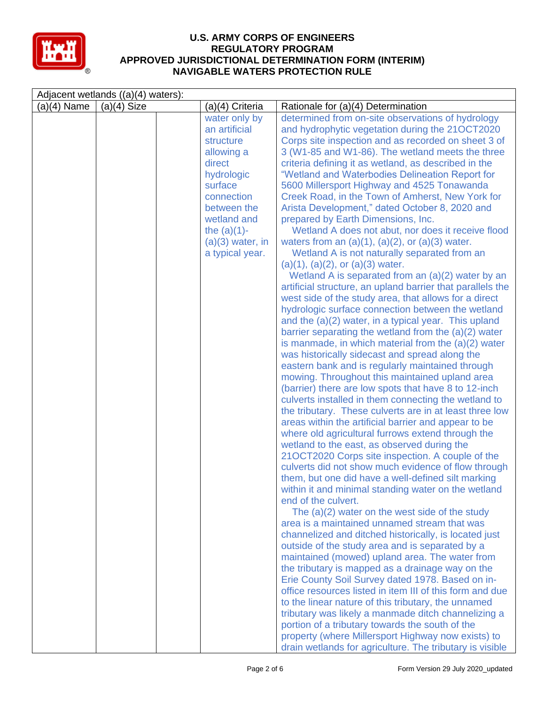

| Adjacent wetlands ((a)(4) waters): |               |  |                                                                                                                                                                                                     |                                                                                                                                                                                                                                                                                                                                                                                                                                                                                                                                                                                                                                                                                                                                                                                                                                                                                                                                                                                                                                                                                                                                                                                                                                                                                                                                                                                                                                                                                                                                                                                                                                                                                                                                                                                                                                                                                                                                                                                                                                                                                                                                                                                                                                                                                                                                                                                                                                                                                                                                                                                                               |  |  |  |
|------------------------------------|---------------|--|-----------------------------------------------------------------------------------------------------------------------------------------------------------------------------------------------------|---------------------------------------------------------------------------------------------------------------------------------------------------------------------------------------------------------------------------------------------------------------------------------------------------------------------------------------------------------------------------------------------------------------------------------------------------------------------------------------------------------------------------------------------------------------------------------------------------------------------------------------------------------------------------------------------------------------------------------------------------------------------------------------------------------------------------------------------------------------------------------------------------------------------------------------------------------------------------------------------------------------------------------------------------------------------------------------------------------------------------------------------------------------------------------------------------------------------------------------------------------------------------------------------------------------------------------------------------------------------------------------------------------------------------------------------------------------------------------------------------------------------------------------------------------------------------------------------------------------------------------------------------------------------------------------------------------------------------------------------------------------------------------------------------------------------------------------------------------------------------------------------------------------------------------------------------------------------------------------------------------------------------------------------------------------------------------------------------------------------------------------------------------------------------------------------------------------------------------------------------------------------------------------------------------------------------------------------------------------------------------------------------------------------------------------------------------------------------------------------------------------------------------------------------------------------------------------------------------------|--|--|--|
| $(a)(4)$ Name                      | $(a)(4)$ Size |  | (a)(4) Criteria                                                                                                                                                                                     | Rationale for (a)(4) Determination                                                                                                                                                                                                                                                                                                                                                                                                                                                                                                                                                                                                                                                                                                                                                                                                                                                                                                                                                                                                                                                                                                                                                                                                                                                                                                                                                                                                                                                                                                                                                                                                                                                                                                                                                                                                                                                                                                                                                                                                                                                                                                                                                                                                                                                                                                                                                                                                                                                                                                                                                                            |  |  |  |
|                                    |               |  | water only by<br>an artificial<br>structure<br>allowing a<br>direct<br>hydrologic<br>surface<br>connection<br>between the<br>wetland and<br>the $(a)(1)$ -<br>$(a)(3)$ water, in<br>a typical year. | determined from on-site observations of hydrology<br>and hydrophytic vegetation during the 21OCT2020<br>Corps site inspection and as recorded on sheet 3 of<br>3 (W1-85 and W1-86). The wetland meets the three<br>criteria defining it as wetland, as described in the<br>"Wetland and Waterbodies Delineation Report for<br>5600 Millersport Highway and 4525 Tonawanda<br>Creek Road, in the Town of Amherst, New York for<br>Arista Development," dated October 8, 2020 and<br>prepared by Earth Dimensions, Inc.<br>Wetland A does not abut, nor does it receive flood<br>waters from an $(a)(1)$ , $(a)(2)$ , or $(a)(3)$ water.<br>Wetland A is not naturally separated from an<br>$(a)(1), (a)(2), or (a)(3)$ water.<br>Wetland A is separated from an (a)(2) water by an<br>artificial structure, an upland barrier that parallels the<br>west side of the study area, that allows for a direct<br>hydrologic surface connection between the wetland<br>and the (a)(2) water, in a typical year. This upland<br>barrier separating the wetland from the $(a)(2)$ water<br>is manmade, in which material from the $(a)(2)$ water<br>was historically sidecast and spread along the<br>eastern bank and is regularly maintained through<br>mowing. Throughout this maintained upland area<br>(barrier) there are low spots that have 8 to 12-inch<br>culverts installed in them connecting the wetland to<br>the tributary. These culverts are in at least three low<br>areas within the artificial barrier and appear to be<br>where old agricultural furrows extend through the<br>wetland to the east, as observed during the<br>21OCT2020 Corps site inspection. A couple of the<br>culverts did not show much evidence of flow through<br>them, but one did have a well-defined silt marking<br>within it and minimal standing water on the wetland<br>end of the culvert.<br>The (a)(2) water on the west side of the study<br>area is a maintained unnamed stream that was<br>channelized and ditched historically, is located just<br>outside of the study area and is separated by a<br>maintained (mowed) upland area. The water from<br>the tributary is mapped as a drainage way on the<br>Erie County Soil Survey dated 1978. Based on in-<br>office resources listed in item III of this form and due<br>to the linear nature of this tributary, the unnamed<br>tributary was likely a manmade ditch channelizing a<br>portion of a tributary towards the south of the<br>property (where Millersport Highway now exists) to<br>drain wetlands for agriculture. The tributary is visible |  |  |  |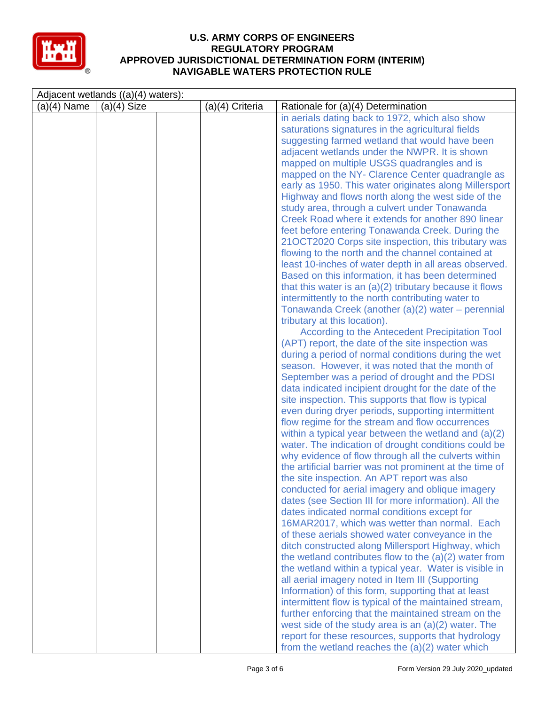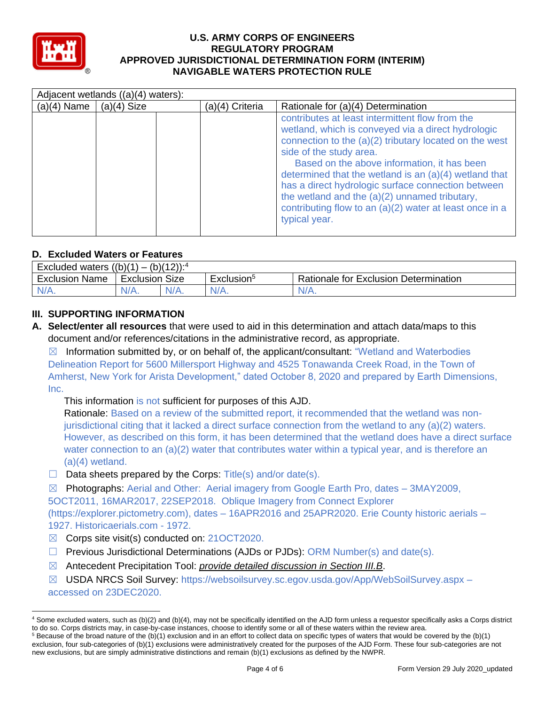

|               | Adjacent wetlands ((a)(4) waters): |  |                 |                                                                                                                                                                                                                                                                                                                                                                                                                                                                                           |  |  |  |  |  |
|---------------|------------------------------------|--|-----------------|-------------------------------------------------------------------------------------------------------------------------------------------------------------------------------------------------------------------------------------------------------------------------------------------------------------------------------------------------------------------------------------------------------------------------------------------------------------------------------------------|--|--|--|--|--|
| $(a)(4)$ Name | $(a)(4)$ Size                      |  | (a)(4) Criteria | Rationale for (a)(4) Determination                                                                                                                                                                                                                                                                                                                                                                                                                                                        |  |  |  |  |  |
|               |                                    |  |                 | contributes at least intermittent flow from the<br>wetland, which is conveyed via a direct hydrologic<br>connection to the $(a)(2)$ tributary located on the west<br>side of the study area.<br>Based on the above information, it has been<br>determined that the wetland is an $(a)(4)$ wetland that<br>has a direct hydrologic surface connection between<br>the wetland and the (a)(2) unnamed tributary,<br>contributing flow to an (a)(2) water at least once in a<br>typical year. |  |  |  |  |  |

## **D. Excluded Waters or Features**

| $(b)(12))$ : <sup>4</sup><br>((b)(1))<br>Excluded<br>waters<br>$\overline{\phantom{0}}$ |           |         |                                                                 |      |  |  |  |  |
|-----------------------------------------------------------------------------------------|-----------|---------|-----------------------------------------------------------------|------|--|--|--|--|
| Exclusion<br>Name                                                                       | Exclusion | Size    | Rationale for Exclusion Determination<br>Exclusion <sup>5</sup> |      |  |  |  |  |
| IN/A.                                                                                   | N/A.      | $N/A$ . | $N/A$ .                                                         | N/A. |  |  |  |  |

## **III. SUPPORTING INFORMATION**

**A. Select/enter all resources** that were used to aid in this determination and attach data/maps to this document and/or references/citations in the administrative record, as appropriate.

 $\boxtimes$  Information submitted by, or on behalf of, the applicant/consultant: "Wetland and Waterbodies Delineation Report for 5600 Millersport Highway and 4525 Tonawanda Creek Road, in the Town of Amherst, New York for Arista Development," dated October 8, 2020 and prepared by Earth Dimensions, Inc.

This information is not sufficient for purposes of this AJD.

Rationale: Based on a review of the submitted report, it recommended that the wetland was nonjurisdictional citing that it lacked a direct surface connection from the wetland to any (a)(2) waters. However, as described on this form, it has been determined that the wetland does have a direct surface water connection to an (a)(2) water that contributes water within a typical year, and is therefore an (a)(4) wetland.

- $\Box$  Data sheets prepared by the Corps: Title(s) and/or date(s).
- $\boxtimes$  Photographs: Aerial and Other: Aerial imagery from Google Earth Pro, dates 3MAY2009,

5OCT2011, 16MAR2017, 22SEP2018. Oblique Imagery from Connect Explorer (https://explorer.pictometry.com), dates – 16APR2016 and 25APR2020. Erie County historic aerials – 1927. Historicaerials.com - 1972.

- ☒ Corps site visit(s) conducted on: 21OCT2020.
- $\Box$  Previous Jurisdictional Determinations (AJDs or PJDs): ORM Number(s) and date(s).
- ☒ Antecedent Precipitation Tool: *provide detailed discussion in Section III.B*.
- ☒ USDA NRCS Soil Survey: https://websoilsurvey.sc.egov.usda.gov/App/WebSoilSurvey.aspx accessed on 23DEC2020.

<sup>4</sup> Some excluded waters, such as (b)(2) and (b)(4), may not be specifically identified on the AJD form unless a requestor specifically asks a Corps district to do so. Corps districts may, in case-by-case instances, choose to identify some or all of these waters within the review area.  $5$  Because of the broad nature of the (b)(1) exclusion and in an effort to collect data on specific types of waters that would be covered by the (b)(1)

exclusion, four sub-categories of (b)(1) exclusions were administratively created for the purposes of the AJD Form. These four sub-categories are not new exclusions, but are simply administrative distinctions and remain (b)(1) exclusions as defined by the NWPR.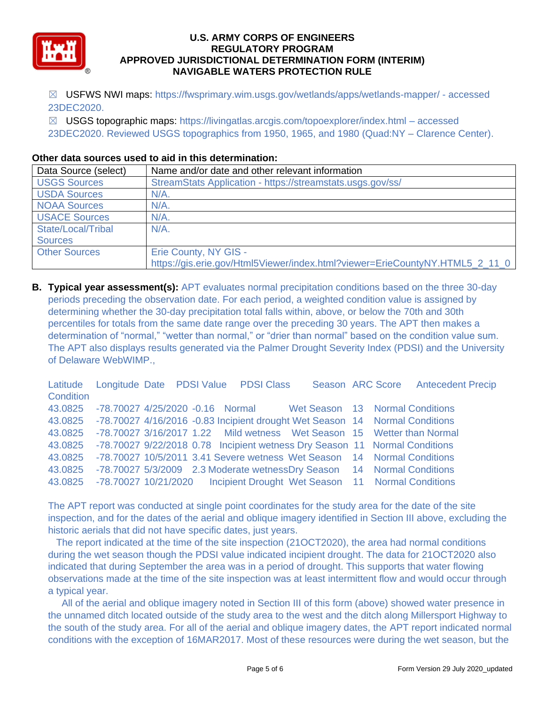

☒ USFWS NWI maps: https://fwsprimary.wim.usgs.gov/wetlands/apps/wetlands-mapper/ - accessed 23DEC2020.

☒ USGS topographic maps: https://livingatlas.arcgis.com/topoexplorer/index.html – accessed 23DEC2020. Reviewed USGS topographics from 1950, 1965, and 1980 (Quad:NY – Clarence Center).

## **Other data sources used to aid in this determination:**

| Data Source (select) | Name and/or date and other relevant information                              |
|----------------------|------------------------------------------------------------------------------|
| <b>USGS Sources</b>  | StreamStats Application - https://streamstats.usgs.gov/ss/                   |
| <b>USDA Sources</b>  | $N/A$ .                                                                      |
| <b>NOAA Sources</b>  | $N/A$ .                                                                      |
| <b>USACE Sources</b> | $N/A$ .                                                                      |
| State/Local/Tribal   | $N/A$ .                                                                      |
| <b>Sources</b>       |                                                                              |
| <b>Other Sources</b> | Erie County, NY GIS -                                                        |
|                      | https://gis.erie.gov/Html5Viewer/index.html?viewer=ErieCountyNY.HTML5_2_11_0 |

**B. Typical year assessment(s):** APT evaluates normal precipitation conditions based on the three 30-day periods preceding the observation date. For each period, a weighted condition value is assigned by determining whether the 30-day precipitation total falls within, above, or below the 70th and 30th percentiles for totals from the same date range over the preceding 30 years. The APT then makes a determination of "normal," "wetter than normal," or "drier than normal" based on the condition value sum. The APT also displays results generated via the Palmer Drought Severity Index (PDSI) and the University of Delaware WebWIMP.,

|           |  |  |                                                                                     |  | Latitude Longitude Date PDSI Value PDSI Class Season ARC Score Antecedent Precip |
|-----------|--|--|-------------------------------------------------------------------------------------|--|----------------------------------------------------------------------------------|
| Condition |  |  |                                                                                     |  |                                                                                  |
|           |  |  | 43.0825 -78.70027 4/25/2020 -0.16 Normal Wet Season 13 Normal Conditions            |  |                                                                                  |
|           |  |  | 43.0825 -78.70027 4/16/2016 -0.83 Incipient drought Wet Season 14 Normal Conditions |  |                                                                                  |
|           |  |  | 43.0825 -78.70027 3/16/2017 1.22 Mild wetness Wet Season 15 Wetter than Normal      |  |                                                                                  |
|           |  |  | 43.0825 -78.70027 9/22/2018 0.78 Incipient wetness Dry Season 11 Normal Conditions  |  |                                                                                  |
|           |  |  | 43.0825 -78.70027 10/5/2011 3.41 Severe wetness Wet Season 14 Normal Conditions     |  |                                                                                  |
|           |  |  | 43.0825 -78.70027 5/3/2009 2.3 Moderate wetness Dry Season 14 Normal Conditions     |  |                                                                                  |
|           |  |  | 43.0825 -78.70027 10/21/2020 Incipient Drought Wet Season 11 Normal Conditions      |  |                                                                                  |

The APT report was conducted at single point coordinates for the study area for the date of the site inspection, and for the dates of the aerial and oblique imagery identified in Section III above, excluding the historic aerials that did not have specific dates, just years.

 The report indicated at the time of the site inspection (21OCT2020), the area had normal conditions during the wet season though the PDSI value indicated incipient drought. The data for 21OCT2020 also indicated that during September the area was in a period of drought. This supports that water flowing observations made at the time of the site inspection was at least intermittent flow and would occur through a typical year.

 All of the aerial and oblique imagery noted in Section III of this form (above) showed water presence in the unnamed ditch located outside of the study area to the west and the ditch along Millersport Highway to the south of the study area. For all of the aerial and oblique imagery dates, the APT report indicated normal conditions with the exception of 16MAR2017. Most of these resources were during the wet season, but the